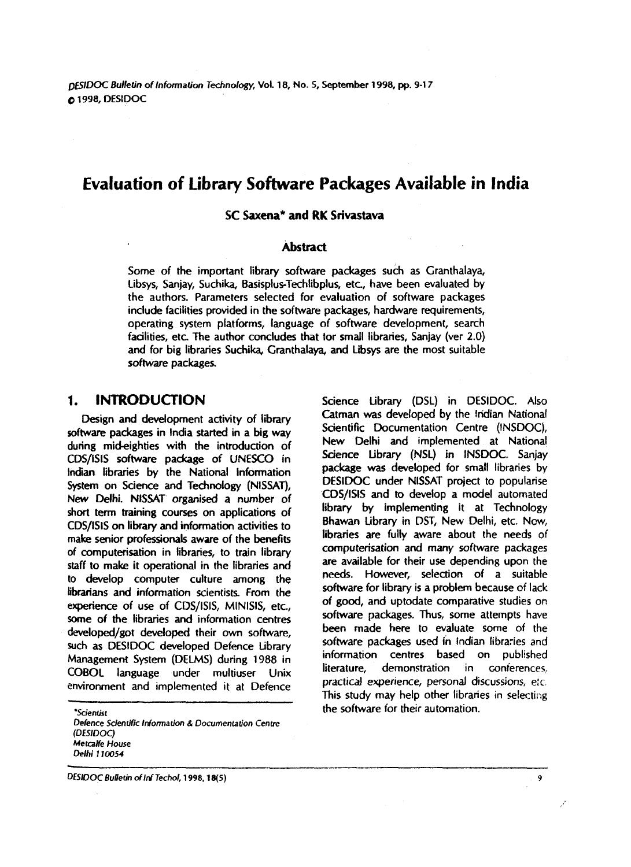*DESIDOC* **Bulktin of lnfonnation Tedmology, Vol. 18, No. 5, September 1998, pp. 9-1 7 0 1998, DESiDOC** 

# **Evaluation of Library Software Packages Available in India**

#### **SC Saxena\* and RK Srivastava**

#### **Abstract**

Some of the important library software **packages** such as Granthalaya, Libsys, Sanjay, Suchika, Basisplus-Techlibplus, etc, have been evaluated by the authors. Parameters selected for evaluation of software packages include facilities provided in the software packages, hardware requirements, operating system platforms, language of software development, search facilities, etc. The author concludes that tor small libraries, Sanjay (ver 2.0) and for big libraries Suchika, Granthalaya, and Libsys are the most suitable software packages.

#### **1. INTRODUCTION**

Design and development activity of library software packages in India started in a big way during mideighties with the introduction of CDS/ISIS software package of UNESCO in Indian libraries by the National Information System on Science and Technology (NISSAT), New Delhi. NlSSAT organised a number of short term training courses on applications of CDS/ISIS on library and information activities to make senior professionals aware of the benefits of amputerisation in libraries, to train library staff to make it operational in the libraries and to develop computer culture among the librarians and information scientists **From** the experience of use of CDS/ISIS, MINISIS, etc., some of the libraries and information centres developed/got developed their own software, such as DESIDOC developed Defence Library Management System (DELMS) during 1988 in COBOL language under multiuser Unix environment and implemented it at Defence

**'Scientist Defence Scientific Information** & **Documenlation Centre (DESIDOC) Metcalfe House Oelhi 1 10054** 

**DESIDOC Bulletin of Inf Techol, 1998, 18(5)** 

Science Library (DSL) in DESIDOC. Also Catman was developed by the lndian National Scientific Documentation Centre (INSDOC), New Oelhi and implemented at National Science Library (NSL) in INSDOC. Sanjay package was developed for small libraries by DESIDOC under NISSAT project to popularise COS/tSIS **and** to develop a model automated library by implementing it at Technology Bhawan Library in **DST,** New Delhi, etc. **Now,**  libraries are fully aware about the needs of computerisation and many software packages are available for their use depending upon the needs. However, selection of a suitable software for library is a problem because of lack of good, and uptodate comparative studies on software packages. Thus, some attempts have been made here to evaluate some of the software packages used ih indian libraries and information centres based on published literature, demonstration in conterences. practical experience, personal discussions, e:c This study may help other libraries in selecting the software for their automation.

 $\overline{9}$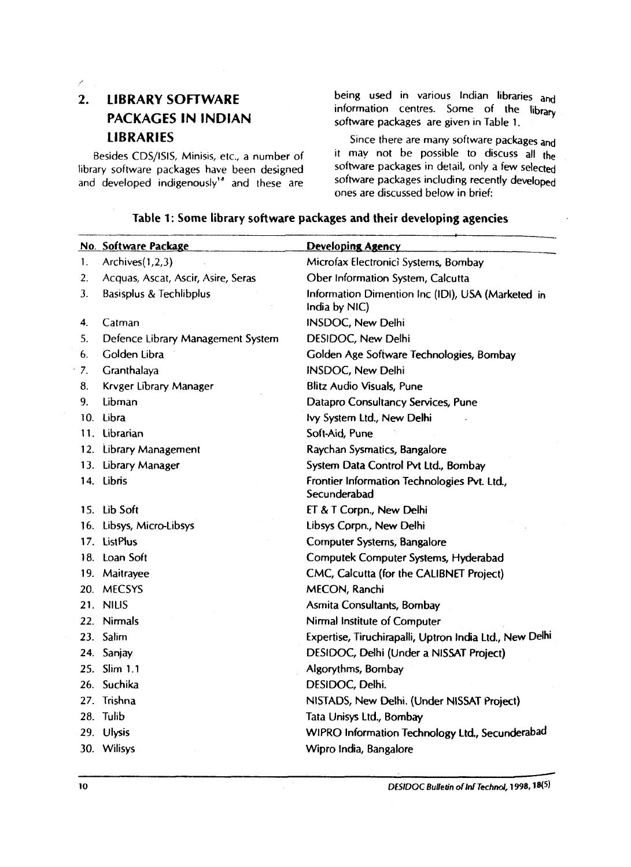k.

# **2. LIBRARY SOFTWARE PACKAGES IN INDIAN**

library software packages have been designed software packages in detail, only a few selected<br>and developed indigenously<sup>18</sup> and these are software packages including recently developed and developed indigenously<sup>18</sup> and these are

being used in various Indian libraries and information centres. Some of the library software packages are given in Table 1.

**LIBRARIES** Since there are many software packages and Besides CDS/ISIS, Minisis, etc., a number of  $\frac{1}{2}$  it may not be possible to discuss all the best in detail, only a few selected ones are discussed below in brief:

|             | No. Software Package               | <b>Developing Agency</b>                                           |
|-------------|------------------------------------|--------------------------------------------------------------------|
| $1_{\cdot}$ | Archives $(1,2,3)$                 | Microfax Electronici Systems, Bombay                               |
| 2.          | Acquas, Ascat, Ascir, Asire, Seras | Ober Information System, Calcutta                                  |
| 3.          | <b>Basisplus &amp; Techlibplus</b> | Information Dimention Inc (IDI), USA (Marketed in<br>India by NIC) |
| 4.          | Catman                             | <b>INSDOC, New Delhi</b>                                           |
| 5.          | Defence Library Management System  | DESIDOC, New Delhi                                                 |
| 6.          | Golden Libra                       | Golden Age Software Technologies, Bombay                           |
| 7.          | Granthalaya                        | <b>INSDOC, New Delhi</b>                                           |
| 8.          | Krvger Library Manager             | Blitz Audio Visuals, Pune                                          |
| 9.          | Libman                             | Datapro Consultancy Services, Pune                                 |
|             | 10. Libra                          | Ivy System Ltd., New Delhi                                         |
|             | 11. Librarian                      | Soft-Aid, Pune                                                     |
|             | 12. Library Management             | Raychan Sysmatics, Bangalore                                       |
|             | 13. Library Manager                | System Data Control Pvt Ltd., Bombay                               |
|             | 14. Libris                         | Frontier Information Technologies Pvt. Ltd.,<br>Secunderabad       |
|             | 15. Lib Soft                       | ET & T Corpn., New Delhi                                           |
|             | 16. Libsys, Micro-Libsys           | Libsys Corpn., New Delhi                                           |
|             | 17. ListPlus                       | Computer Systems, Bangalore                                        |
|             | 18. Loan Soft                      | Computek Computer Systems, Hyderabad                               |
|             | 19. Maitrayee                      | CMC, Calcutta (for the CALIBNET Project)                           |
|             | 20. MECSYS                         | MECON, Ranchi                                                      |
|             | 21. NILIS                          | Asmita Consultants, Bombay                                         |
| 22.         | <b>Nirmals</b>                     | Nirmal Institute of Computer                                       |
|             | 23. Salim                          | Expertise, Tiruchirapalli, Uptron India Ltd., New Delhi            |
|             | 24. Sanjay                         | DESIDOC, Delhi (Under a NISSAT Project)                            |
|             | 25. Slim 1.1                       | Algorythms, Bombay                                                 |
|             | 26. Suchika                        | DESIDOC, Delhi.                                                    |
|             | 27. Trishna                        | NISTADS, New Delhi. (Under NISSAT Project)                         |
|             | 28. Tulib                          | Tata Unisys Ltd., Bombay                                           |
|             | 29. Ulysis                         | WIPRO Information Technology Ltd., Secunderabad                    |
|             | 30. Wilisys                        | Wipro India, Bangalore                                             |

#### **Table 1: Some library software packages and their developing agencies**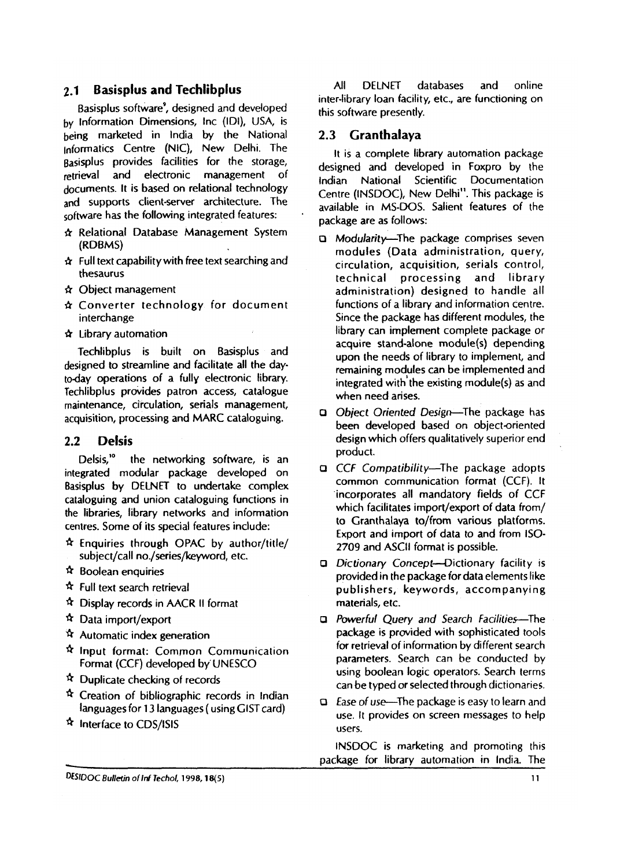#### **2.1 Basisplus and Techlibplus**

Basisplus software<sup>9</sup>, designed and developed by Information Dimensions, Inc (IDI), USA, is being marketed in India by the National informatics Centre (NIC), New Delhi. The Basisplus provides facilities for the storage, retrieval and electronic management of documents. It is based on relational technology and supports client-server architecture. The software has the following integrated features:

- **Cr** Relational Database Management System (RDBMS)
- **Cr** Full text capabilitywith free text searching and thesaurus
- & Object management
- **Cr** Converter technology for document interchange
- & Library automation

Techlibplus is built on Basisplus and designed to streamline and facilitate all the dayto-day operations of a fully electronic library. Techlibplus provides patron access, catalogue maintenance, circulation, serials management, acquisition, processing and MARC cataloguing.

#### **2.2 Delsis**

Delsis,<sup>10</sup> the networking software, is an integrated modular package developed on Basisplus by DELNET to undertake complex cataloguing and union cataloguing functions in the libraries, library networks and information

- centres. Some of its special features include:<br> $\hat{x}$  Enquiries through OPAC by author/title/<br>subject/call no./series/keyword, etc.
- 
- 
- 
- 
- 
- **if** Boolean enquiries<br> **if** Full text search retrieval<br> **if** Display records in AACR II format<br> **if** Data import/export<br> **if** Automatic index generation<br> **if** Input format: Common Communication<br>
Format (CCF) developed by
- 
- $\hat{\tau}$  Duplicate checking of records<br> $\hat{\tau}$  Creation of bibliographic records in Indian languages for 13 languages ( using GIST card)<br> $\frac{A}{A}$  Interface to CDS/ISIS
- 

All DELNET databases and online inter-library loan facility, etc., are functioning on this software presently.

#### **2.3 Granthalaya**

It is a complete library automation package designed and developed in Foxpro by the Indian National Scientific Documentation Centre (INSDOC), New Delhi". This package is available in MS-DOS. Salient features of the package are as follows:

- **D** Modularity-The package comprises seven modules (Data administration, query, circulation, acquisition, serials control, technical processing and library administration) designed to handle all functions of a library and information centre. Since the package has different modules, the library can implement complete package or acquire stand-alone module(s) depending upon the needs of library to implement, and remaining modules can be implemented and integrated with the existing module(s) as and when need arises.
- **0** Object Oriented Design-The package has been developed based on object-oriented design which offers qualitatively superior end product.
- a CCf Compatibility-The package adopts common communication format (CCF). It incorporates all mandatory fields of CCF which facilitates import/export of data from/ to Granthalaya to/from various platforms. Export and import of data to and from ISO-2709 and ASCtl format is possible.
- a Dictionary Concept--Dictionary facility is provided in the package for data elements like publishers, keywords, accompanying materials, etc.
- a Powerful Query and Search Facilifies-The package is provided with sophisticated tools for retrieval of information by different search parameters. Search can he conducted by using boolean logic operators. Search terms can be typed or selected through dictionaries.
- **o** Ease of use-The package is easy to learn and use. It provides on screen messages to help users.

INSOOC is marketing and promoting this package for library automation in India. The

DESIDOC Bulletin of Inf Techol, 1998, 18(5)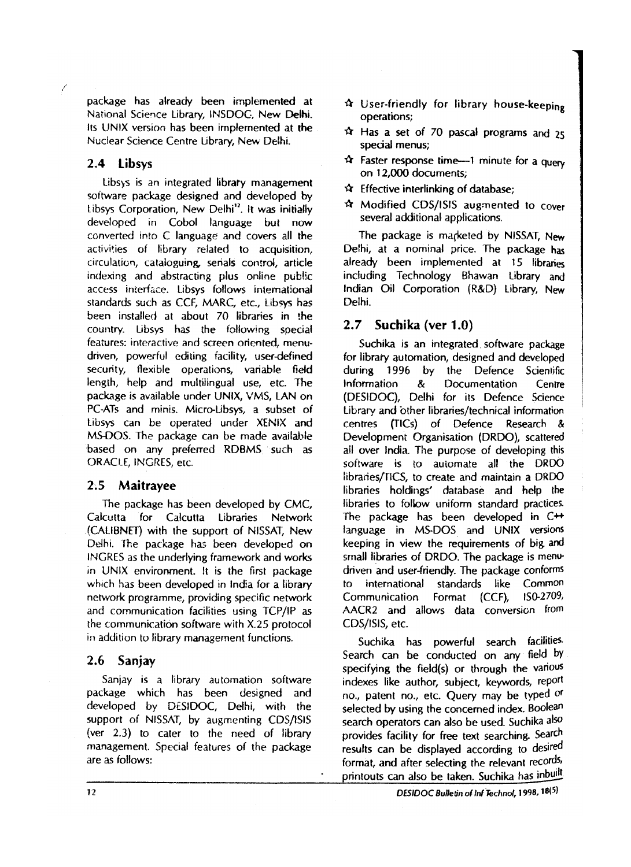package has already been implemented at National Science Library, INSDOC, New **Delht.**  Its UNlX version has been implemented at **the**  Nuclear Science Centre Library, New Delhi.

### **2.4 Libsys**

Libsys is an integrated library management software package designed and developed by Libsys Corporation, New Delhi<sup>12</sup>. It was initially developed in Cobol language but now converted into C language: and covers all the activities of library related to acquisition, circulation, cataloguing, serials control, article indexing and abstracting pius online publlc access interface. Libsys follows international standards such as CCF, MARC, etc., Libsys has been installed at about 70 libraries in the country. Libsys has the following special features: interactive and screen oriented, menudriven, powerful editing facility, user-defined security, flexible operations, variable field length, help and multiiingual use, etc. The package is available under CJNIX, VMS, LAN on PC-ATs and minis. Micro-Libsys, a subset of Libsys can be operated under XENlX and MS-DOS. The package can be made available based on any preferred RDBMS such as ORACILE, INGRES, erc.

#### **2.5 Maitrayee**

The package has been developed by CMC, Calcutta for Calcutta Libraries Network (CALIBNET) with the support of NISSAT, New Delhi. The package ha; been developed on INGKES as the underlying framework and works in UNIX environment. It is the first package which has been developed in India for a library network programme, providing specific network and communication facilities using TCP/IP as the communication software with X.25 protocol in addition to library management functions.

#### **2.6 Sanjay**

Sanjay is a library autornation software package which has been designed and developed by DESIDOC, Delhi, with the support of NISSAT, by augmenting CDS/ISIS (ver 2.3) to cater to the need of library management. Special features of the package are as follows:

- **Q** User-friendly for library housekeeping operations;
- **Q** Has a set of 70 pascal programs and **<sup>25</sup>** special menus;
- $\hat{x}$  Faster response time-1 minute for a query on 12,000 documents;
- **Q** Effective interlinking of database;
- **St** Modified COS/ISIS augmented to cover several additional applications.

The package is marketed by NISSAT, New Delhi, at a nominal price. The package has already been implemented at 15 libraries including Technology Bhawan Library and Indian Oil Corporation (R&D) Library, New Delhi.

#### **2.7 Suchika (ver 1 .O)**

Suchika is an integrated software package for library automation, designed and developed during 1996 by the Defence Scientific Information & Documentation Centre (DESIDOC), Delhi for its Defence Science Library and other libraries/technical information centres (TICS) of Defence Research & Development Organisation (DRDO), scattered ail over India. The purpose of developing this software is to auiomate all the DRDO fibraries/rlCS, to create and maintain a DRDO libtaries holdings' database and help the libraries to folbw uniform standard practices. The package has been developed in C<sup>++</sup> language in MS-DOS and UNIX versions keeping in view the requirements of big and small libraries of DRDO. The package is menudriven and user-friendly. The package conforms to international standards like Common Communication Format (CCF), lS0-270% AACR2 and allows data conversion from CDS/ISIS, etc.

Suchika has powerful search facilities Search can be conducted on any field by specifying the field(s) or through the various indexes like author, subject, keywords, report no., patent no., etc. Query may be typed or selected by using the concerned index. Boolean search operators can also be used. Suchika also provides facility for free text searching. Search results can be displayed according to desired format, and after selecting the relevant records, printouts can also be taken. Suchika has inbuilt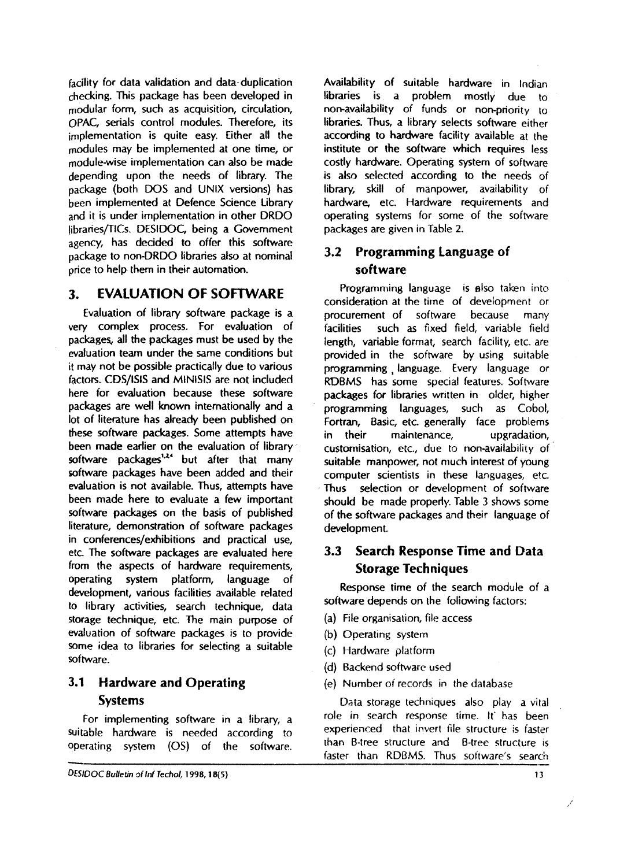facility for data validation and data-duplication checking. This package has been developed in modular form, such as acquisition, circulation, **OPAC,** serials control modules. Therefore, its implementation is quite easy. Either all the modules may be implemented at one time, or module-wise implementation can also be made depending upon the needs of library. The package (both DOS and UNlX versions) has been implemented at Defence Science Library and it is under implementation in other DRDC! IibrariesfllCs. DESIDOC, being a Government agency, has decided to offer this software package to non-DRDO libraries also at nominal price to help them in their automation.

#### **3. EVALUATION OF SOFTWARE**

Evaluation of library software package is a very complex process. For evaluation of packages, all the packages must be used by the evaluation team under the same conditions but it may not be possible practically due to various factors. CDS/4SIS and MlNiSlS are not included here for evaluation because these software packages are well known internationally and a lot of literature has already been published on these software packages. Some attempts have been made earlier on the evaluation of library software packages<sup>1,24</sup> but after that many software packages have been added and their evaluation is not available. Thus, attempts have been made here to evaluate a few important software packages on the basis of published literature, demonstration of software packages in conferences/exhibitions and practical use, etc The software packages are evaluated here from the aspects of hardware requirements, operating system platform, language of development, various facilities available related to library activities, search technique, data storage technique, etc. The main purpose of evaluation of software packages is to provide some idea to libraries for selecting a suitable software.

# **3.1 Hardware and Operating Systems**

For implementing software in a library, a suitable hardware is needed according to operating system (0s) of the software.

Availability of suitable hardware in Indian libraries is a problem mostly due to non-availability of funds or non-priority to libraries. Thus, a library selects software either according to hardware facility available at the institute or the software which requires less costly hardware. Operating system of software is also selected according to the needs of library, skill of manpower, availability of hardware, etc. Hardware requirements and operating systems for some of the software packages are given in Table 2.

#### **3.2 Programming Language of software**

Programming language is also taken into consideration at the tirne of deveioprnent or procurement of software because many facilities such as fixed field, variable field length, variable format, search facility, etc, are provided in the software by using suitable programming , language. Every language or RDBMS has some special features. Software packages for libraries written in older, higher programming languages, such as Cobol, Fortran, Basic, etc. generally face problems in their maintenance, upgradation, customisation, etc., due to non-availability of suitable manpower, not niuch interest of young computer scientists in these languages, etc. Thus selection or development of software should be made properly. Table 3 shows some of the software packages and their language of development.

# **3.3 Search Response Time and Data Storage Techniques**

Response time of the search module of a software depends on the foliowing factors:

- (a) File organisation, file access
- (b) Operating system
- (c) Hardware platform
- (d) Rackend sofhvare used
- (e) Number oi records in the database

Data storage techniques also play a vital role in search response time. It' has been experienced that invert file structure is faster than B-tree structure and B-tree structure is<br>
faster than RDBMS. Thus software's search faster than RDBMS. Thus sottware's search

DESIDOC Bulletin of Inf Techol, 1998, 18(5)

**13**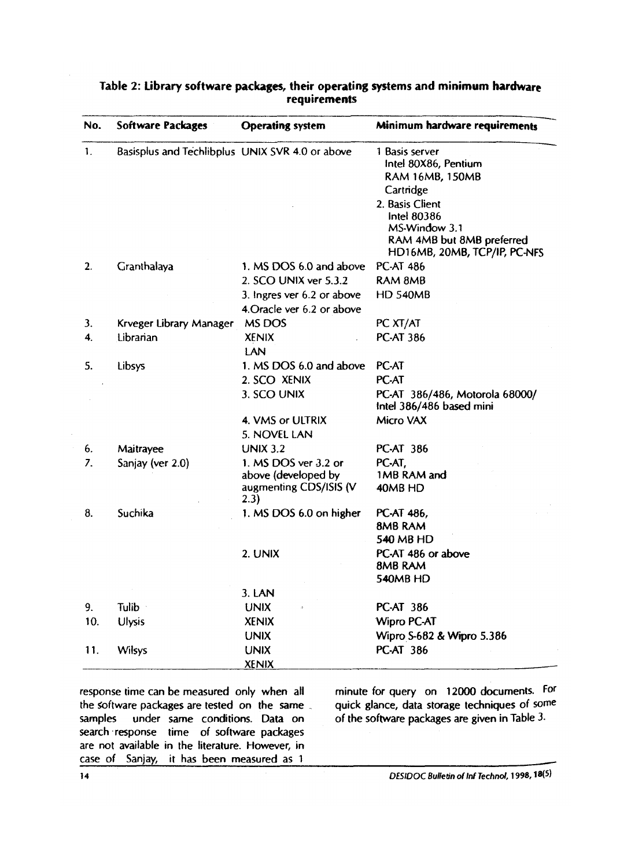| No.          | <b>Software Packages</b>                        | <b>Operating</b> system        | Minimum hardware requirements                                                                                |  |  |
|--------------|-------------------------------------------------|--------------------------------|--------------------------------------------------------------------------------------------------------------|--|--|
| 1.           | Basisplus and Techlibplus UNIX SVR 4.0 or above |                                | 1 Basis server<br>Intel 80X86, Pentium<br>RAM 16MB, 150MB<br>Cartridge                                       |  |  |
|              |                                                 |                                | 2. Basis Client<br>Intel 80386<br>MS-Window 3.1<br>RAM 4MB but 8MB preferred<br>HD16MB, 20MB, TCP/IP, PC-NFS |  |  |
| 2.           | Cranthalaya                                     | 1. MS DOS 6.0 and above        | <b>PC-AT 486</b>                                                                                             |  |  |
|              |                                                 | 2. SCO UNIX ver 5.3.2          | RAM 8MB                                                                                                      |  |  |
|              |                                                 | 3. Ingres ver 6.2 or above     | <b>HD 540MB</b>                                                                                              |  |  |
|              |                                                 | 4. Oracle ver 6.2 or above     |                                                                                                              |  |  |
| 3.           | Krveger Library Manager                         | MS DOS                         | PC XT/AT                                                                                                     |  |  |
| $\mathbf{4}$ | Librarian                                       | <b>XENIX</b><br>LAN            | <b>PC-AT 386</b>                                                                                             |  |  |
| 5.           | Libsys                                          | 1. MS DOS 6.0 and above        | PC-AT                                                                                                        |  |  |
|              |                                                 | 2. SCO XENIX                   | PC-AT                                                                                                        |  |  |
|              |                                                 | 3. SCO UNIX                    | PC-AT 386/486, Motorola 68000/<br>Intel 386/486 based mini                                                   |  |  |
|              |                                                 | 4. VMS or ULTRIX               | Micro VAX                                                                                                    |  |  |
|              |                                                 | 5. NOVEL LAN                   |                                                                                                              |  |  |
| 6.           | Maitrayee                                       | <b>UNIX 3.2</b>                | <b>PC-AT 386</b>                                                                                             |  |  |
| 7.           | Sanjay (ver 2.0)                                | 1. MS DOS ver 3.2 or           | PC-AT.                                                                                                       |  |  |
|              |                                                 | above (developed by            | 1MB RAM and                                                                                                  |  |  |
|              |                                                 | augmenting CDS/ISIS (V<br>2.3) | 40MB HD                                                                                                      |  |  |
| 8.           | Suchika                                         | 1. MS DOS 6.0 on higher        | PC-AT 486,                                                                                                   |  |  |
|              |                                                 |                                | 8MB RAM                                                                                                      |  |  |
|              |                                                 |                                | 540 MB HD                                                                                                    |  |  |
|              |                                                 | 2. UNIX                        | PC-AT 486 or above                                                                                           |  |  |
|              |                                                 |                                | 8MB RAM                                                                                                      |  |  |
|              |                                                 |                                | 540MB HD                                                                                                     |  |  |
|              |                                                 | 3. LAN                         |                                                                                                              |  |  |
| 9.           | Tulib ·                                         | <b>UNIX</b>                    | <b>PC-AT 386</b>                                                                                             |  |  |
| 10.          | <b>Ulysis</b>                                   | <b>XENIX</b>                   | <b>Wipro PC-AT</b>                                                                                           |  |  |
|              |                                                 | <b>UNIX</b>                    | Wipro S-682 & Wipro 5.386                                                                                    |  |  |
| 11.          | Wilsys                                          | <b>UNIX</b>                    | <b>PC-AT 386</b>                                                                                             |  |  |
|              |                                                 | <b>XENIX</b>                   |                                                                                                              |  |  |

#### **Table 2: Library software packages, their operating systems and minimum hardware requirements**

samples under same conditions. Data on of the software packages are given in Table 3. search response time of software packages are not available in the literature. However, in case of Sanjay, it has been measured as 1

response time can be measured only when all minute for query on 12000 documents. For the software packages are tested on the same the offer ackages are tested on the same quick glance, data storage techniques of some under same conditions. Data on of the software packages are given in Table 3.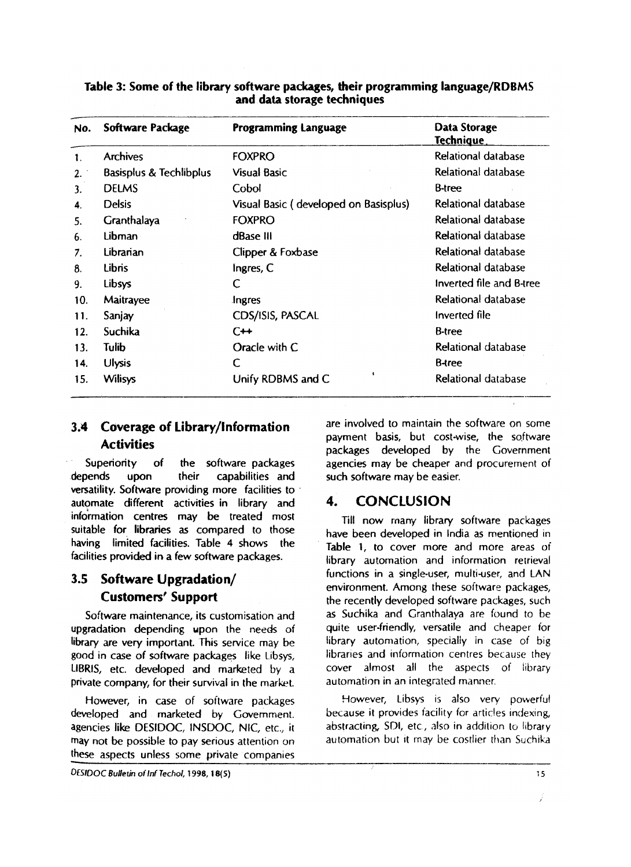| No. | Software Package                   | <b>Programming Language</b>               | Data Storage<br>Technique  |
|-----|------------------------------------|-------------------------------------------|----------------------------|
| 1.  | <b>Archives</b>                    | <b>FOXPRO</b>                             | Relational database        |
| 2.  | <b>Basisplus &amp; Techlibplus</b> | <b>Visual Basic</b>                       | Relational database        |
| 3.  | <b>DELMS</b>                       | Cobol                                     | <b>B-tree</b>              |
| 4.  | <b>Delsis</b>                      | Visual Basic (developed on Basisplus)     | Relational database        |
| 5.  | Granthalaya                        | <b>FOXPRO</b>                             | Relational database        |
| 6.  | Libman                             | dBase III                                 | Relational database        |
| 7.  | Librarian                          | Clipper & Foxbase                         | Relational database        |
| 8.  | <b>Libris</b>                      | Ingres, C                                 | <b>Relational database</b> |
| 9.  | Libsys                             | C                                         | Inverted file and B-tree   |
| 10. | Maitrayee                          | Ingres                                    | Relational database        |
| 11. | Sanjay                             | CDS/ISIS, PASCAL                          | Inverted file              |
| 12. | Suchika                            | $C++$                                     | <b>B-tree</b>              |
| 13. | Tulib                              | Oracle with C                             | Relational database        |
| 14. | <b>Ulysis</b>                      | C                                         | <b>B-tree</b>              |
| 15. | <b>Wilisys</b>                     | $\ddot{\phantom{1}}$<br>Unify RDBMS and C | Relational database        |

#### **Table 3: Some of the library software packages, their programming language/RDBMS and data storage techniques**

# **Coverage of Library/lnformation Activities**

Superiority of the software packages depends upon their capabilities and versatility. Software providing more facilities to automate different activities in library and information centres may be treated most suitable for libraries as compared to those having limited facilities. Table **4** shows the facilities provided in a few software packages.

# **3.5 Software Upgradation/ Customers' Support**

Software maintenance, its customisation and upgradation depending upon the needs of library are very important. This service may be good in case of software packages like Libsys, LIBRIS, etc. developed and marketed by a private company, for their survival in the market.

However, in case of software packages developed and marketed by Government. agencies like DESIDOC, INSDOC, NIC, etc., it may not be possible to pay serious attention on these aspects unless some private companies

are involved to maintain the software on some payment basis, but cost-wise, the software packages developed by the Government agencies may be cheaper and procurement of such software may be easier.

# **4. CONCLUSION**

Till now rnany library software packages have been developed in India as mentioned in Table 1, to cover more and more areas of library automation and information retrieval functions in a single-user, multi-user, and LAN environment. Among these software packages, the recently developed software packages, such as Suchika and Granthalaya are found to be quite user-friendly, versatile and cheaper for library automation, specialiy in case of big libraries and information centres because they cover almost all the aspects of library automation in an integrated manner

However, Libsys is also very powerful because it provides tacility for articles indexing, abstracting, SDI, etc, also in addition to library automation but it may be costlier than Suchika

**DESIDOC Bulletin of Inf Techol, 1998, 18(5) IS IS ISSNAPHENE ASSAULTED ISSNAPHENE ASSAULTED ISSNAPHENE ASSAULTED ISSNAPHENE ASSAULTED ISSNAPHENE**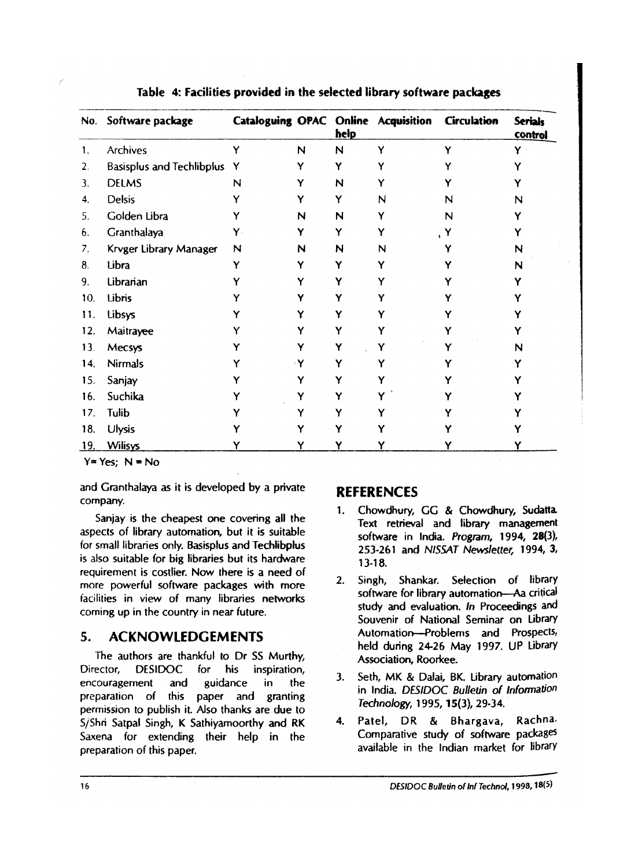| Table 4: Facilities provided in the selected library software packages |                                  |    |   |      |                                     |                    |                                  |  |
|------------------------------------------------------------------------|----------------------------------|----|---|------|-------------------------------------|--------------------|----------------------------------|--|
| No.                                                                    | Software package                 |    |   | help | Cataloguing OPAC Online Acquisition | <b>Circulation</b> | <b>Serials</b><br><b>control</b> |  |
| 1.                                                                     | <b>Archives</b>                  | Ý  | N | N    | Y                                   |                    |                                  |  |
| 2.                                                                     | <b>Basisplus and Techlibplus</b> | Y  |   | Y    |                                     |                    |                                  |  |
| 3.                                                                     | <b>DELMS</b>                     | N  |   | N    |                                     |                    |                                  |  |
| 4.                                                                     | <b>Delsis</b>                    |    |   | Y    | N                                   | N                  | N                                |  |
| 5.                                                                     | Golden Libra                     |    | N | N    |                                     | N                  |                                  |  |
| 6.                                                                     | Granthalaya                      | γ. |   | Y    |                                     |                    |                                  |  |
| 7.                                                                     | Krvger Library Manager           | N  | N | N    | N                                   |                    | N                                |  |
| 8.                                                                     | Libra                            | Y  |   | Y    |                                     |                    | N                                |  |
| 9.                                                                     | Librarian                        |    |   | Y    |                                     |                    |                                  |  |
| 10.                                                                    | Libris                           |    |   | Y    |                                     |                    |                                  |  |
| 11.                                                                    | Libsys                           |    |   |      |                                     |                    |                                  |  |
| 12.                                                                    | Maitrayee                        |    |   |      |                                     |                    |                                  |  |
| 13.                                                                    | Mecsys                           |    |   |      |                                     |                    | N                                |  |
| 14.                                                                    | <b>Nirmals</b>                   |    |   |      |                                     |                    |                                  |  |
| 15.                                                                    | Sanjay                           |    |   |      |                                     |                    |                                  |  |
| 16.                                                                    | Suchika                          |    |   |      |                                     |                    |                                  |  |
| 17.                                                                    | Tulib                            |    |   |      |                                     |                    |                                  |  |
| 18.                                                                    | <b>Ulysis</b>                    |    |   |      |                                     |                    |                                  |  |
| 19.                                                                    | <b>Wilisys</b>                   |    |   |      |                                     |                    |                                  |  |

#### **Table 4: Facilities provided in the selected library software packages**

 $Y = Yes$ ;  $N = No$ 

and Granthalaya as it is developed by a private company.

Sanjay is the cheapest one covering all the aspects of library automation, but it is suitable for small libraries only. Basisplus and Techlibplus is also suitable for big libraries but its hardware requirement is costlier. Now there is a need of more powerful software packages with more iacilities in view of many libraries networks coming up in the country in near future.

The authors are thankful to Dr SS Murthy, Association, Roorkee.<br>ector, DESIDOC for his inspiration, Director, DESIDOC encouragement and guidance in the 3. Seth, MK & Dalai, BK. Library automation encouragement and guidance in the intervals in India. DESIDOC Bulletin of Information<br>preparation of this paper and granting Technology, 1995, 15(3), 29-34. ermission to publish it. Also thanks are due to the Technology, 1995, 15(3), 29-34.<br>S/Shri Satnal Singh, K Sathiyamoorthy and RK and A. Patel, DR & Bhargava,  $j$ / $Shri$  Satpal Singh, K Sathiyamoorthy and RK  $j$  4. Patel, DR & Bhargava, Rachna-<br>Saxena for extending their help in the Comparative study of software packages Saxena for extending their help in the preparation of this paper. The Third is available in the Indian market for library

# **REFERENCES**

- 1. Chowdhury, GG & Chowdhury, Sudatta. Text retrieval and library management software in India. Program, 1994, 28(3), 253-261 and NISSAT Newsletter, 1994, **3,**  13-18.
- 2. Singh, Shankar. Selection of library software for library automation-Aa critical study and evaluation. In Proceedings and Souvenir of National Seminar on Library **5. ACKNOWLEDGEMENTS** Automation--Problems and Prospects,<br>held during 24-26 May 1997. UP Library
	-
	-